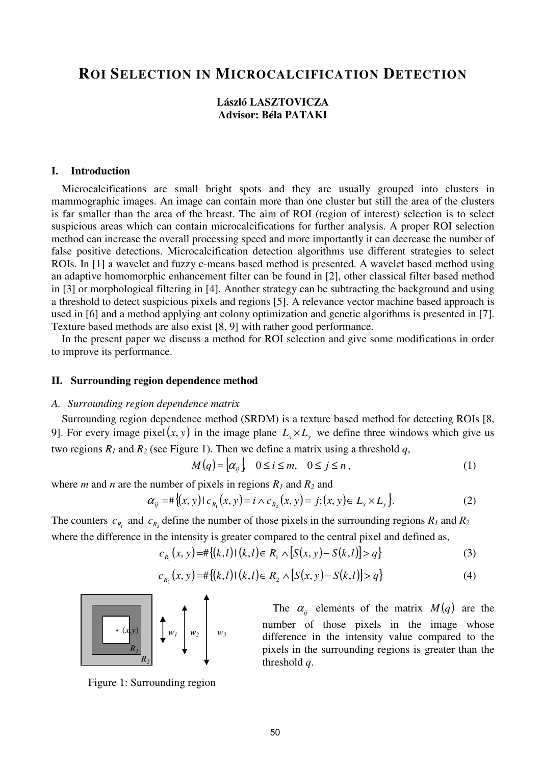# **ROI SELECTION IN MICROCALCIFICATION DETECTION**

## **László LASZTOVICZA Advisor: Béla PATAKI**

#### **I. Introduction**

Microcalcifications are small bright spots and they are usually grouped into clusters in mammographic images. An image can contain more than one cluster but still the area of the clusters is far smaller than the area of the breast. The aim of ROI (region of interest) selection is to select suspicious areas which can contain microcalcifications for further analysis. A proper ROI selection method can increase the overall processing speed and more importantly it can decrease the number of false positive detections. Microcalcification detection algorithms use different strategies to select ROIs. In [1] a wavelet and fuzzy c-means based method is presented. A wavelet based method using an adaptive homomorphic enhancement filter can be found in [2], other classical filter based method in [3] or morphological filtering in [4]. Another strategy can be subtracting the background and using a threshold to detect suspicious pixels and regions [5]. A relevance vector machine based approach is used in [6] and a method applying ant colony optimization and genetic algorithms is presented in [7]. Texture based methods are also exist [8, 9] with rather good performance.

In the present paper we discuss a method for ROI selection and give some modifications in order to improve its performance.

#### **II. Surrounding region dependence method**

#### *A. Surrounding region dependence matrix*

Surrounding region dependence method (SRDM) is a texture based method for detecting ROIs [8, 9]. For every image pixel(*x*, *y*) in the image plane  $L_x \times L_y$  we define three windows which give us two regions  $R_1$  and  $R_2$  (see Figure 1). Then we define a matrix using a threshold q,

$$
M(q) = \begin{bmatrix} \alpha_{ij} \end{bmatrix}, \quad 0 \le i \le m, \quad 0 \le j \le n \tag{1}
$$

where *m* and *n* are the number of pixels in regions  $R_1$  and  $R_2$  and

$$
\alpha_{ij} = \# \{ (x, y) \mid c_{R_i}(x, y) = i \land c_{R_2}(x, y) = j; (x, y) \in L_x \times L_y \}. \tag{2}
$$

The counters  $c_{R_1}$  and  $c_{R_2}$  define the number of those pixels in the surrounding regions  $R_1$  and  $R_2$ where the difference in the intensity is greater compared to the central pixel and defined as,

$$
c_{R_1}(x, y) = \#\{(k, l) | (k, l) \in R_1 \land [S(x, y) - S(k, l)] > q\}
$$
\n(3)

$$
c_{R_2}(x, y) = \#\{(k, l) | (k, l) \in R_2 \land [S(x, y) - S(k, l)] > q\}
$$
 (4)



The  $\alpha_{ij}$  elements of the matrix  $M(q)$  are the number of those pixels in the image whose difference in the intensity value compared to the pixels in the surrounding regions is greater than the threshold *q*.

Figure 1: Surrounding region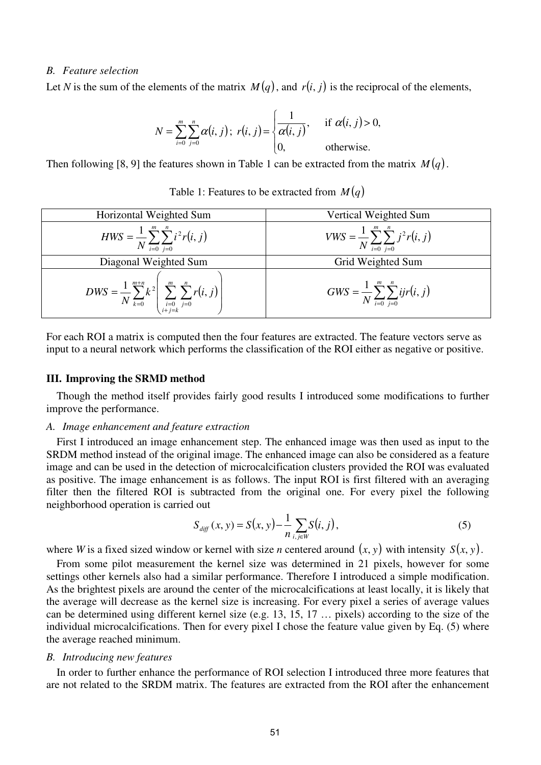## *B. Feature selection*

Let *N* is the sum of the elements of the matrix  $M(q)$ , and  $r(i, j)$  is the reciprocal of the elements,

$$
N = \sum_{i=0}^{m} \sum_{j=0}^{n} \alpha(i, j); \ r(i, j) = \begin{cases} \frac{1}{\alpha(i, j)}, & \text{if } \alpha(i, j) > 0, \\ 0, & \text{otherwise.} \end{cases}
$$

Then following [8, 9] the features shown in Table 1 can be extracted from the matrix  $M(q)$ .

|  | Table 1: Features to be extracted from $M(q)$ |  |  |  |  |  |  |
|--|-----------------------------------------------|--|--|--|--|--|--|
|--|-----------------------------------------------|--|--|--|--|--|--|

| Horizontal Weighted Sum                                                                                      | Vertical Weighted Sum                                           |  |  |
|--------------------------------------------------------------------------------------------------------------|-----------------------------------------------------------------|--|--|
| $HWS = \frac{1}{N} \sum_{i=0}^{m} \sum_{j=0}^{n} i^2 r(i, j)$                                                | $VWS = \frac{1}{N} \sum_{i=0}^{m} \sum_{j=0}^{n} j^{2} r(i, j)$ |  |  |
| Diagonal Weighted Sum                                                                                        | Grid Weighted Sum                                               |  |  |
| $DWS = \frac{1}{N} \sum_{k=0}^{m+n} k^2 \left( \sum_{\substack{i=0 \ i+j=k}}^m \sum_{j=0}^n r(i, j) \right)$ | $GWS = \frac{1}{N} \sum_{i=0}^{m} \sum_{j=0}^{n} ijr(i, j)$     |  |  |

For each ROI a matrix is computed then the four features are extracted. The feature vectors serve as input to a neural network which performs the classification of the ROI either as negative or positive.

#### **III. Improving the SRMD method**

Though the method itself provides fairly good results I introduced some modifications to further improve the performance.

## *A. Image enhancement and feature extraction*

First I introduced an image enhancement step. The enhanced image was then used as input to the SRDM method instead of the original image. The enhanced image can also be considered as a feature image and can be used in the detection of microcalcification clusters provided the ROI was evaluated as positive. The image enhancement is as follows. The input ROI is first filtered with an averaging filter then the filtered ROI is subtracted from the original one. For every pixel the following neighborhood operation is carried out

$$
S_{\text{diff}}(x, y) = S(x, y) - \frac{1}{n} \sum_{i, j \in W} S(i, j), \tag{5}
$$

where *W* is a fixed sized window or kernel with size *n* centered around  $(x, y)$  with intensity  $S(x, y)$ .

From some pilot measurement the kernel size was determined in 21 pixels, however for some settings other kernels also had a similar performance. Therefore I introduced a simple modification. As the brightest pixels are around the center of the microcalcifications at least locally, it is likely that the average will decrease as the kernel size is increasing. For every pixel a series of average values can be determined using different kernel size (e.g. 13, 15, 17 … pixels) according to the size of the individual microcalcifications. Then for every pixel I chose the feature value given by Eq. (5) where the average reached minimum.

#### *B. Introducing new features*

In order to further enhance the performance of ROI selection I introduced three more features that are not related to the SRDM matrix. The features are extracted from the ROI after the enhancement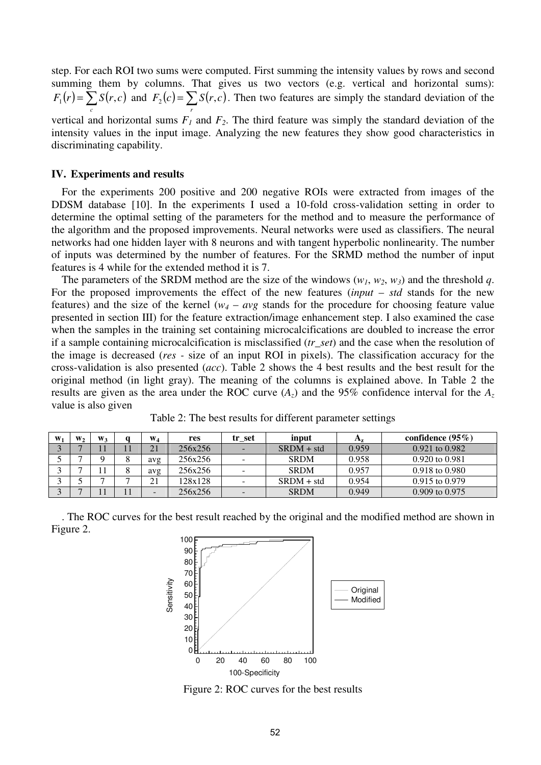step. For each ROI two sums were computed. First summing the intensity values by rows and second summing them by columns. That gives us two vectors (e.g. vertical and horizontal sums):  $(r) = \sum S(r, c)$ *c*  $F_1(r) = \sum S(r, c)$  and  $F_2(c) = \sum S(r, c)$ *r*  $F_2(c) = \sum S(r, c)$ . Then two features are simply the standard deviation of the

vertical and horizontal sums  $F_I$  and  $F_2$ . The third feature was simply the standard deviation of the intensity values in the input image. Analyzing the new features they show good characteristics in discriminating capability.

### **IV. Experiments and results**

For the experiments 200 positive and 200 negative ROIs were extracted from images of the DDSM database [10]. In the experiments I used a 10-fold cross-validation setting in order to determine the optimal setting of the parameters for the method and to measure the performance of the algorithm and the proposed improvements. Neural networks were used as classifiers. The neural networks had one hidden layer with 8 neurons and with tangent hyperbolic nonlinearity. The number of inputs was determined by the number of features. For the SRMD method the number of input features is 4 while for the extended method it is 7.

The parameters of the SRDM method are the size of the windows  $(w_1, w_2, w_3)$  and the threshold q. For the proposed improvements the effect of the new features (*input* – *std* stands for the new features) and the size of the kernel  $(w_4 - avg \times t)$  stands for the procedure for choosing feature value presented in section III) for the feature extraction/image enhancement step. I also examined the case when the samples in the training set containing microcalcifications are doubled to increase the error if a sample containing microcalcification is misclassified (*tr\_set*) and the case when the resolution of the image is decreased (*res -* size of an input ROI in pixels). The classification accuracy for the cross-validation is also presented (*acc*). Table 2 shows the 4 best results and the best result for the original method (in light gray). The meaning of the columns is explained above. In Table 2 the results are given as the area under the ROC curve  $(A<sub>z</sub>)$  and the 95% confidence interval for the  $A<sub>z</sub>$ value is also given

| $W_1$ | $W_{2}$ | W <sub>2</sub> | $W_4$                     | res     | tr set                   | input        | $\mathbf{A}_{\mathbf{z}}$ | confidence $(95\%)$ |
|-------|---------|----------------|---------------------------|---------|--------------------------|--------------|---------------------------|---------------------|
|       |         |                | 21                        | 256x256 | $\overline{\phantom{0}}$ | $SRDM + std$ | 0.959                     | 0.921 to 0.982      |
|       | -       |                | avg                       | 256x256 | $\sim$                   | <b>SRDM</b>  | 0.958                     | 0.920 to 0.981      |
|       | -       |                | avg                       | 256x256 | $\overline{\phantom{a}}$ | <b>SRDM</b>  | 0.957                     | 0.918 to 0.980      |
|       |         |                | $\mathbf{\Omega}$ 1<br>∠⊥ | 128x128 | $\overline{\phantom{a}}$ | $SRDM + std$ | 0.954                     | $0.915$ to $0.979$  |
|       | -       |                | -                         | 256x256 | $\sim$                   | <b>SRDM</b>  | 0.949                     | $0.909$ to $0.975$  |

Table 2: The best results for different parameter settings

. The ROC curves for the best result reached by the original and the modified method are shown in Figure 2.



Figure 2: ROC curves for the best results